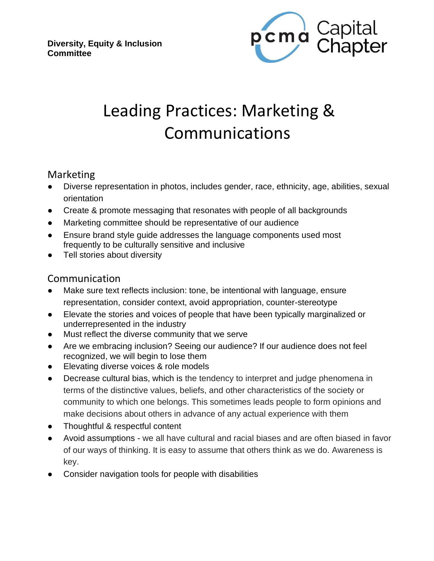

# Leading Practices: Marketing & Communications

## Marketing

- Diverse representation in photos, includes gender, race, ethnicity, age, abilities, sexual orientation
- Create & promote messaging that resonates with people of all backgrounds
- Marketing committee should be representative of our audience
- Ensure brand style guide addresses the language components used most frequently to be culturally sensitive and inclusive
- Tell stories about diversity

### Communication

- Make sure text reflects inclusion: tone, be intentional with language, ensure representation, consider context, avoid appropriation, counter-stereotype
- Elevate the stories and voices of people that have been typically marginalized or underrepresented in the industry
- Must reflect the diverse community that we serve
- Are we embracing inclusion? Seeing our audience? If our audience does not feel recognized, we will begin to lose them
- Elevating diverse voices & role models
- Decrease cultural bias, which is the tendency to interpret and judge phenomena in terms of the distinctive values, beliefs, and other characteristics of the society or community to which one belongs. This sometimes leads people to form opinions and make decisions about others in advance of any actual experience with them
- Thoughtful & respectful content
- Avoid assumptions we all have cultural and racial biases and are often biased in favor of our ways of thinking. It is easy to assume that others think as we do. Awareness is key.
- Consider navigation tools for people with disabilities